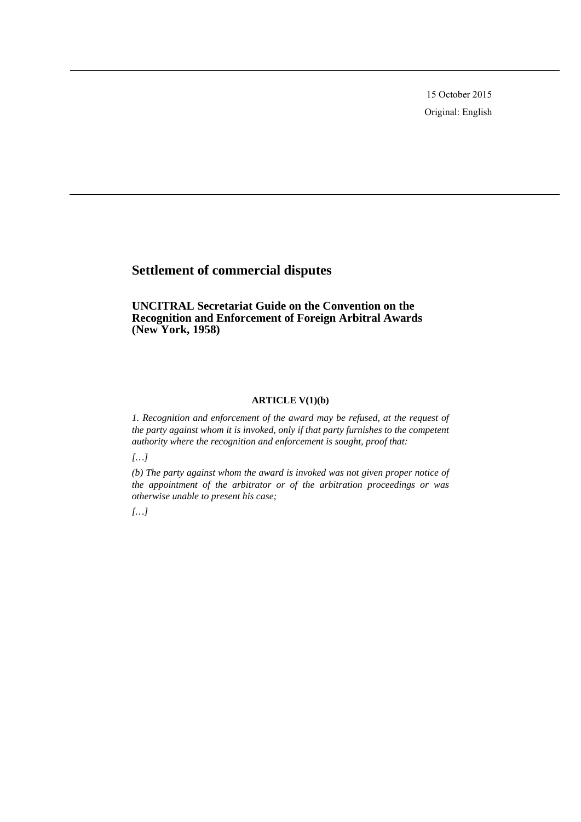15 October 2015 Original: English

# **Settlement of commercial disputes**

**UNCITRAL Secretariat Guide on the Convention on the Recognition and Enforcement of Foreign Arbitral Awards (New York, 1958)** 

# **ARTICLE V(1)(b)**

*1. Recognition and enforcement of the award may be refused, at the request of the party against whom it is invoked, only if that party furnishes to the competent authority where the recognition and enforcement is sought, proof that:* 

*[…]* 

*(b) The party against whom the award is invoked was not given proper notice of the appointment of the arbitrator or of the arbitration proceedings or was otherwise unable to present his case;* 

*[…]*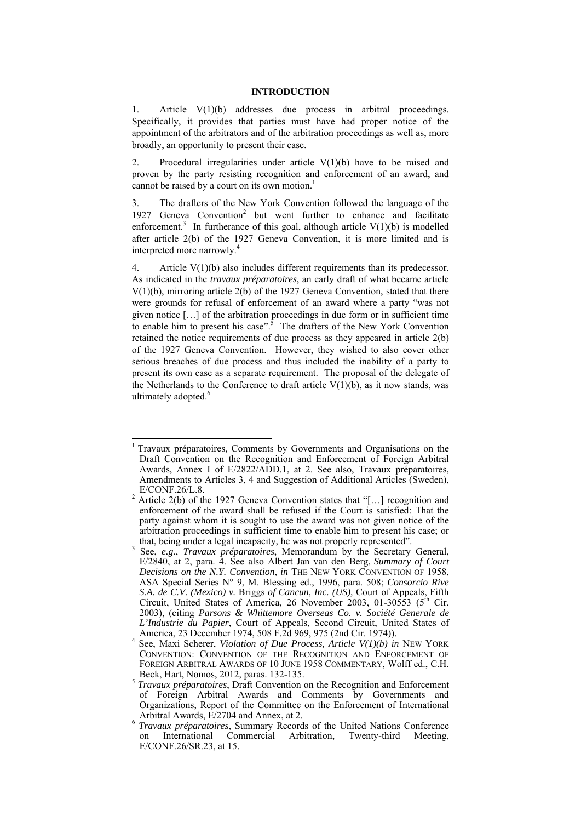#### **INTRODUCTION**

1. Article V(1)(b) addresses due process in arbitral proceedings. Specifically, it provides that parties must have had proper notice of the appointment of the arbitrators and of the arbitration proceedings as well as, more broadly, an opportunity to present their case.

2. Procedural irregularities under article  $V(1)(b)$  have to be raised and proven by the party resisting recognition and enforcement of an award, and cannot be raised by a court on its own motion.<sup>1</sup>

3. The drafters of the New York Convention followed the language of the 1927 Geneva Convention<sup>2</sup> but went further to enhance and facilitate enforcement.<sup>3</sup> In furtherance of this goal, although article  $V(1)(b)$  is modelled after article 2(b) of the 1927 Geneva Convention, it is more limited and is interpreted more narrowly.<sup>4</sup>

4. Article V(1)(b) also includes different requirements than its predecessor. As indicated in the *travaux préparatoires*, an early draft of what became article V(1)(b), mirroring article 2(b) of the 1927 Geneva Convention, stated that there were grounds for refusal of enforcement of an award where a party "was not given notice […] of the arbitration proceedings in due form or in sufficient time to enable him to present his case".<sup>5</sup> The drafters of the New York Convention retained the notice requirements of due process as they appeared in article 2(b) of the 1927 Geneva Convention. However, they wished to also cover other serious breaches of due process and thus included the inability of a party to present its own case as a separate requirement. The proposal of the delegate of the Netherlands to the Conference to draft article  $V(1)(b)$ , as it now stands, was ultimately adopted.<sup>6</sup>

<sup>1</sup> Travaux préparatoires, Comments by Governments and Organisations on the Draft Convention on the Recognition and Enforcement of Foreign Arbitral Awards, Annex I of E/2822/ADD.1, at 2. See also, Travaux préparatoires, Amendments to Articles 3, 4 and Suggestion of Additional Articles (Sweden), E/CONF.26/L.8.<br><sup>2</sup> Article 2(b) of the 1927 Geneva Convention states that "[...] recognition and

enforcement of the award shall be refused if the Court is satisfied: That the party against whom it is sought to use the award was not given notice of the arbitration proceedings in sufficient time to enable him to present his case; or that, being under a legal incapacity, he was not properly represented".

<sup>&</sup>lt;sup>3</sup> See, *e.g.*, *Travaux préparatoires*, Memorandum by the Secretary General, E/2840, at 2, para. 4. See also Albert Jan van den Berg, *Summary of Court Decisions on the N.Y. Convention*, *in* THE NEW YORK CONVENTION OF 1958, ASA Special Series N° 9, M. Blessing ed., 1996, para. 508; *Consorcio Rive S.A. de C.V. (Mexico) v.* Briggs *of Cancun, Inc. (US),* Court of Appeals, Fifth Circuit, United States of America, 26 November 2003, 01-30553 ( $5<sup>th</sup>$  Cir. 2003), (citing *Parsons & Whittemore Overseas Co. v. Société Generale de L'Industrie du Papier*, Court of Appeals, Second Circuit, United States of America, 23 December 1974, 508 F.2d 969, 975 (2nd Cir. 1974)). 4

See, Maxi Scherer, *Violation of Due Process, Article V(1)(b) in* NEW YORK CONVENTION: CONVENTION OF THE RECOGNITION AND ENFORCEMENT OF FOREIGN ARBITRAL AWARDS OF 10 JUNE 1958 COMMENTARY, Wolff ed., C.H.

Beck, Hart, Nomos, 2012, paras. 132-135. 5 *Travaux préparatoires*, Draft Convention on the Recognition and Enforcement of Foreign Arbitral Awards and Comments by Governments and Organizations, Report of the Committee on the Enforcement of International Arbitral Awards, E/2704 and Annex, at 2.

<sup>&</sup>lt;sup>6</sup> *Travaux préparatoires*, Summary Records of the United Nations Conference on International Commercial Arbitration, Twenty-third Meeting, E/CONF.26/SR.23, at 15.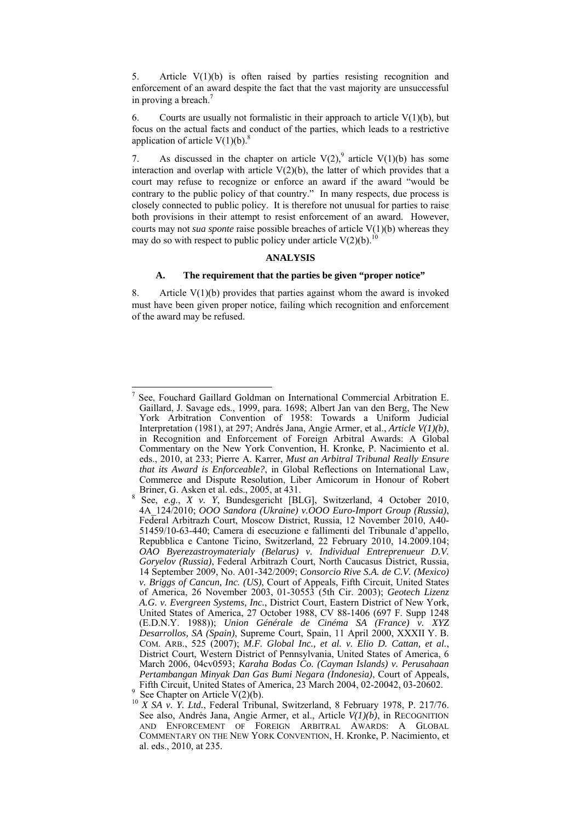5. Article  $V(1)(b)$  is often raised by parties resisting recognition and enforcement of an award despite the fact that the vast majority are unsuccessful in proving a breach.<sup>7</sup>

6. Courts are usually not formalistic in their approach to article  $V(1)(b)$ , but focus on the actual facts and conduct of the parties, which leads to a restrictive application of article  $V(1)(b)$ .<sup>8</sup>

7. As discussed in the chapter on article  $V(2)$ , article  $V(1)(b)$  has some interaction and overlap with article  $V(2)(b)$ , the latter of which provides that a court may refuse to recognize or enforce an award if the award "would be contrary to the public policy of that country." In many respects, due process is closely connected to public policy. It is therefore not unusual for parties to raise both provisions in their attempt to resist enforcement of an award. However, courts may not *sua sponte* raise possible breaches of article V(1)(b) whereas they may do so with respect to public policy under article  $V(2)(b)$ .<sup>10</sup>

# **ANALYSIS**

#### **A. The requirement that the parties be given "proper notice"**

8. Article  $V(1)(b)$  provides that parties against whom the award is invoked must have been given proper notice, failing which recognition and enforcement of the award may be refused.

 $\overline{a}$ 7 See, Fouchard Gaillard Goldman on International Commercial Arbitration E. Gaillard, J. Savage eds., 1999, para. 1698; Albert Jan van den Berg, The New York Arbitration Convention of 1958: Towards a Uniform Judicial Interpretation (1981), at 297; Andrés Jana, Angie Armer, et al., *Article V(1)(b)*, in Recognition and Enforcement of Foreign Arbitral Awards: A Global Commentary on the New York Convention, H. Kronke, P. Nacimiento et al. eds., 2010, at 233; Pierre A. Karrer, *Must an Arbitral Tribunal Really Ensure that its Award is Enforceable?*, in Global Reflections on International Law, Commerce and Dispute Resolution, Liber Amicorum in Honour of Robert Briner, G. Asken et al. eds., 2005, at 431. 8

See, *e.g.*, *X v. Y*, Bundesgericht [BLG], Switzerland, 4 October 2010, 4A\_124/2010; *OOO Sandora (Ukraine) v.OOO Euro-Import Group (Russia)*, Federal Arbitrazh Court, Moscow District, Russia, 12 November 2010, A40- 51459/10-63-440; Camera di esecuzione e fallimenti del Tribunale d'appello, Repubblica e Cantone Ticino, Switzerland, 22 February 2010, 14.2009.104; *OAO Byerezastroymaterialy (Belarus) v. Individual Entreprenueur D.V. Goryelov (Russia)*, Federal Arbitrazh Court, North Caucasus District, Russia, 14 September 2009, No. A01-342/2009; *Consorcio Rive S.A. de C.V. (Mexico) v. Briggs of Cancun, Inc. (US)*, Court of Appeals, Fifth Circuit, United States of America, 26 November 2003, 01-30553 (5th Cir. 2003); *Geotech Lizenz A.G. v. Evergreen Systems, Inc.*, District Court, Eastern District of New York, United States of America, 27 October 1988, CV 88-1406 (697 F. Supp 1248 (E.D.N.Y. 1988)); *Union Générale de Cinéma SA (France) v. XYZ Desarrollos, SA (Spain)*, Supreme Court, Spain, 11 April 2000, XXXII Y. B. COM. ARB., 525 (2007); *M.F. Global Inc., et al. v. Elio D. Cattan, et al.*, District Court, Western District of Pennsylvania, United States of America, 6 March 2006, 04cv0593; *Karaha Bodas Co. (Cayman Islands) v. Perusahaan Pertambangan Minyak Dan Gas Bumi Negara (Indonesia)*, Court of Appeals, Fifth Circuit, United States of America, 23 March 2004, 02-20042, 03-20602.

See Chapter on Article V(2)(b).

<sup>&</sup>lt;sup>10</sup> *X SA v. Y. Ltd.*, Federal Tribunal, Switzerland, 8 February 1978, P. 217/76. See also, Andrés Jana, Angie Armer, et al., Article *V(1)(b)*, in RECOGNITION AND ENFORCEMENT OF FOREIGN ARBITRAL AWARDS: A GLOBAL COMMENTARY ON THE NEW YORK CONVENTION, H. Kronke, P. Nacimiento, et al. eds., 2010, at 235.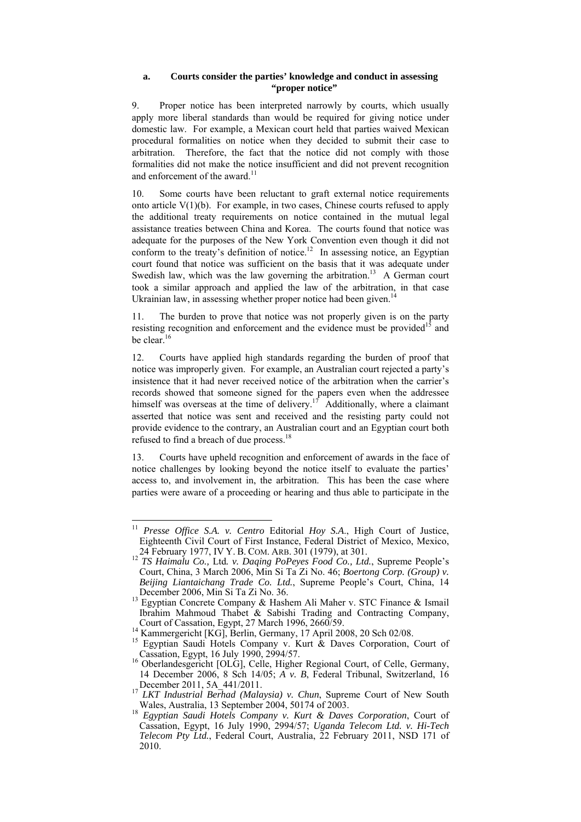#### **a. Courts consider the parties' knowledge and conduct in assessing "proper notice"**

9. Proper notice has been interpreted narrowly by courts, which usually apply more liberal standards than would be required for giving notice under domestic law. For example, a Mexican court held that parties waived Mexican procedural formalities on notice when they decided to submit their case to arbitration. Therefore, the fact that the notice did not comply with those formalities did not make the notice insufficient and did not prevent recognition and enforcement of the award.<sup>11</sup>

10. Some courts have been reluctant to graft external notice requirements onto article  $V(1)(b)$ . For example, in two cases, Chinese courts refused to apply the additional treaty requirements on notice contained in the mutual legal assistance treaties between China and Korea. The courts found that notice was adequate for the purposes of the New York Convention even though it did not conform to the treaty's definition of notice.<sup>12</sup> In assessing notice, an Egyptian court found that notice was sufficient on the basis that it was adequate under Swedish law, which was the law governing the arbitration.<sup>13</sup> A German court took a similar approach and applied the law of the arbitration, in that case Ukrainian law, in assessing whether proper notice had been given.<sup>14</sup>

11. The burden to prove that notice was not properly given is on the party resisting recognition and enforcement and the evidence must be provided<sup>15</sup> and be clear.<sup>16</sup>

12. Courts have applied high standards regarding the burden of proof that notice was improperly given. For example, an Australian court rejected a party's insistence that it had never received notice of the arbitration when the carrier's records showed that someone signed for the papers even when the addressee himself was overseas at the time of delivery.<sup>17</sup> Additionally, where a claimant asserted that notice was sent and received and the resisting party could not provide evidence to the contrary, an Australian court and an Egyptian court both refused to find a breach of due process.<sup>18</sup>

13. Courts have upheld recognition and enforcement of awards in the face of notice challenges by looking beyond the notice itself to evaluate the parties' access to, and involvement in, the arbitration. This has been the case where parties were aware of a proceeding or hearing and thus able to participate in the

 $\overline{a}$ <sup>11</sup> *Presse Office S.A. v. Centro* Editorial *Hoy S.A*., High Court of Justice, Eighteenth Civil Court of First Instance, Federal District of Mexico, Mexico, 24 February 1977, IV Y. B. COM. ARB. 301 (1979), at 301.

<sup>&</sup>lt;sup>12</sup> TS Haimalu Co., Ltd. v. Daqing PoPeyes Food Co., Ltd., Supreme People's Court, China, 3 March 2006, Min Si Ta Zi No. 46; *Boertong Corp. (Group) v. Beijing Liantaichang Trade Co. Ltd.*, Supreme People's Court, China, 14

December 2006, Min Si Ta Zi No. 36. 13 Egyptian Concrete Company & Hashem Ali Maher v. STC Finance & Ismail Ibrahim Mahmoud Thabet & Sabishi Trading and Contracting Company,

<sup>&</sup>lt;sup>14</sup> Kammergericht [KG], Berlin, Germany, 17 April 2008, 20 Sch 02/08.<br><sup>15</sup> Egyptian Saudi Hotels Company v. Kurt & Daves Corporation, Court of

Cassation, Egypt, 16 July 1990, 2994/57. 16 Oberlandesgericht [OLG], Celle, Higher Regional Court, of Celle, Germany, 14 December 2006, 8 Sch 14/05; *A v. B*, Federal Tribunal, Switzerland, 16

December 2011, 5A\_441/2011.<br><sup>17</sup> *LKT Industrial Berhad (Malaysia) v. Chun*, Supreme Court of New South Wales, Australia, 13 September 2004, 50174 of 2003.

<sup>18</sup> Egyptian Saudi Hotels Company v. Kurt & Daves Corporation, Court of Cassation, Egypt, 16 July 1990, 2994/57; *Uganda Telecom Ltd. v. Hi-Tech Telecom Pty Ltd.*, Federal Court, Australia, 22 February 2011, NSD 171 of 2010.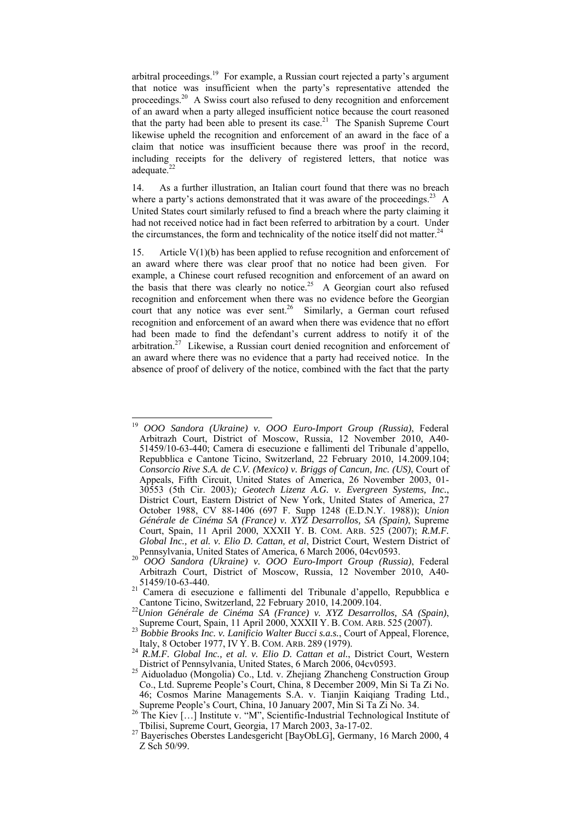arbitral proceedings.<sup>19</sup> For example, a Russian court rejected a party's argument that notice was insufficient when the party's representative attended the proceedings.<sup>20</sup> A Swiss court also refused to deny recognition and enforcement of an award when a party alleged insufficient notice because the court reasoned that the party had been able to present its case.<sup>21</sup> The Spanish Supreme Court likewise upheld the recognition and enforcement of an award in the face of a claim that notice was insufficient because there was proof in the record, including receipts for the delivery of registered letters, that notice was adequate.<sup>22</sup>

14. As a further illustration, an Italian court found that there was no breach where a party's actions demonstrated that it was aware of the proceedings.<sup>23</sup> A United States court similarly refused to find a breach where the party claiming it had not received notice had in fact been referred to arbitration by a court. Under the circumstances, the form and technicality of the notice itself did not matter.<sup>24</sup>

15. Article V(1)(b) has been applied to refuse recognition and enforcement of an award where there was clear proof that no notice had been given. For example, a Chinese court refused recognition and enforcement of an award on the basis that there was clearly no notice.<sup>25</sup> A Georgian court also refused recognition and enforcement when there was no evidence before the Georgian court that any notice was ever sent.<sup>26</sup> Similarly, a German court refused recognition and enforcement of an award when there was evidence that no effort had been made to find the defendant's current address to notify it of the arbitration.<sup>27</sup> Likewise, a Russian court denied recognition and enforcement of an award where there was no evidence that a party had received notice. In the absence of proof of delivery of the notice, combined with the fact that the party

<sup>19</sup> <sup>19</sup> *OOO Sandora (Ukraine) v. OOO Euro-Import Group (Russia)*, Federal Arbitrazh Court, District of Moscow, Russia, 12 November 2010, А40- 51459/10-63-440; Camera di esecuzione e fallimenti del Tribunale d'appello, Repubblica e Cantone Ticino, Switzerland, 22 February 2010, 14.2009.104; *Consorcio Rive S.A. de C.V. (Mexico) v. Briggs of Cancun, Inc. (US)*, Court of Appeals, Fifth Circuit, United States of America, 26 November 2003, 01- 30553 (5th Cir. 2003)*; Geotech Lizenz A.G. v. Evergreen Systems, Inc.*, District Court, Eastern District of New York, United States of America, 27 October 1988, CV 88-1406 (697 F. Supp 1248 (E.D.N.Y. 1988)); *Union Générale de Cinéma SA (France) v. XYZ Desarrollos, SA (Spain)*, Supreme Court, Spain, 11 April 2000, XXXII Y. B. COM. ARB. 525 (2007); *R.M.F. Global Inc., et al. v. Elio D. Cattan, et al*, District Court, Western District of

Pennsylvania, United States of America, 6 March 2006, 04cv0593. 20 *OOO Sandora (Ukraine) v. OOO Euro-Import Group (Russia)*, Federal Arbitrazh Court, District of Moscow, Russia, 12 November 2010, А40-

<sup>51459/10-63-440.&</sup>lt;br><sup>21</sup> Camera di esecuzione e fallimenti del Tribunale d'appello, Repubblica e Cantone Ticino, Switzerland, 22 February 2010, 14.2009.104.

Cantone Ticino, Switzerland, 22 February 2010, 14.2009.104. 22*Union Générale de Cinéma SA (France) v. XYZ Desarrollos, SA (Spain)*, Supreme Court, Spain, 11 April 2000, XXXII Y. B. COM. ARB. <sup>525</sup> (2007). <sup>23</sup> *Bobbie Brooks Inc. v. Lanificio Walter Bucci s.a.s.*, Court of Appeal, Florence,

Italy, 8 October 1977, IV Y. B. COM. ARB. <sup>289</sup> (1979). 24 *R.M.F. Global Inc., et al. v. Elio D. Cattan et al.*, District Court, Western

District of Pennsylvania, United States, 6 March 2006, 04cv0593. 25 Aiduoladuo (Mongolia) Co., Ltd. v. Zhejiang Zhancheng Construction Group Co., Ltd. Supreme People's Court, China, 8 December 2009, Min Si Ta Zi No. 46; Cosmos Marine Managements S.A. v. Tianjin Kaiqiang Trading Ltd., Supreme People's Court, China, 10 January 2007, Min Si Ta Zi No. 34.

<sup>26</sup> The Kiev […] Institute v. "M", Scientific-Industrial Technological Institute of<br>Tbilisi, Supreme Court, Georgia, 17 March 2003, 3a-17-02.

<sup>&</sup>lt;sup>27</sup> Bayerisches Oberstes Landesgericht [BayObLG], Germany, 16 March 2000, 4 Z Sch 50/99.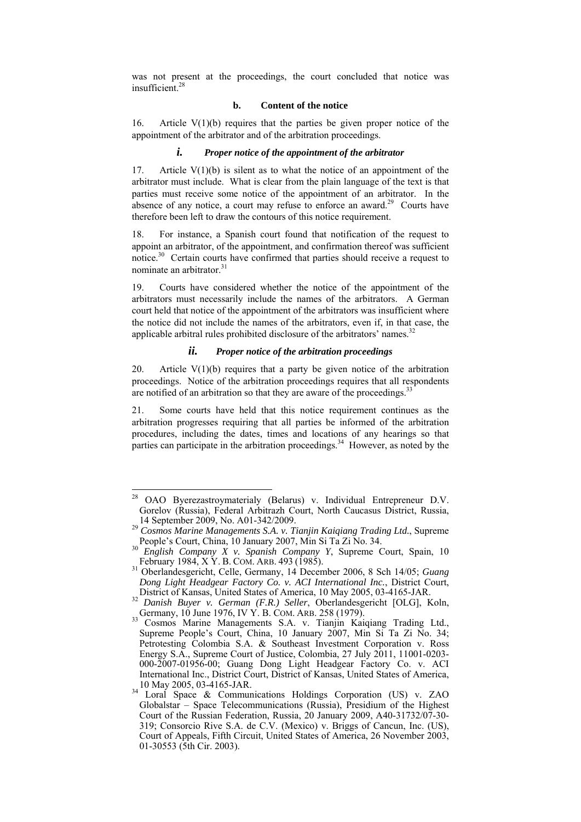was not present at the proceedings, the court concluded that notice was insufficient.28

#### **b. Content of the notice**

16. Article  $V(1)(b)$  requires that the parties be given proper notice of the appointment of the arbitrator and of the arbitration proceedings.

#### *i. Proper notice of the appointment of the arbitrator*

17. Article  $V(1)(b)$  is silent as to what the notice of an appointment of the arbitrator must include. What is clear from the plain language of the text is that parties must receive some notice of the appointment of an arbitrator. In the absence of any notice, a court may refuse to enforce an award.<sup>29</sup> Courts have therefore been left to draw the contours of this notice requirement.

18. For instance, a Spanish court found that notification of the request to appoint an arbitrator, of the appointment, and confirmation thereof was sufficient notice.30 Certain courts have confirmed that parties should receive a request to nominate an arbitrator.<sup>31</sup>

19. Courts have considered whether the notice of the appointment of the arbitrators must necessarily include the names of the arbitrators. A German court held that notice of the appointment of the arbitrators was insufficient where the notice did not include the names of the arbitrators, even if, in that case, the applicable arbitral rules prohibited disclosure of the arbitrators' names.<sup>32</sup>

# *ii. Proper notice of the arbitration proceedings*

20. Article  $V(1)(b)$  requires that a party be given notice of the arbitration proceedings. Notice of the arbitration proceedings requires that all respondents are notified of an arbitration so that they are aware of the proceedings.<sup>33</sup>

21. Some courts have held that this notice requirement continues as the arbitration progresses requiring that all parties be informed of the arbitration procedures, including the dates, times and locations of any hearings so that parties can participate in the arbitration proceedings.<sup>34</sup> However, as noted by the

 $\sqrt{28}$ 28 OAO Byerezastroymaterialy (Belarus) v. Individual Entrepreneur D.V. Gorelov (Russia), Federal Arbitrazh Court, North Caucasus District, Russia, 14 September 2009, No. A01-342/2009. 29 *Cosmos Marine Managements S.A. v. Tianjin Kaiqiang Trading Ltd.*, Supreme

People's Court, China, 10 January 2007, Min Si Ta Zi No. 34.<br><sup>30</sup> *English Company X v. Spanish Company Y*, Supreme Court, Spain, 10<br>February 1984, X Y. B. COM. ARB. 493 (1985).

<sup>&</sup>lt;sup>31</sup> Oberlandesgericht, Celle, Germany, 14 December 2006, 8 Sch 14/05; *Guang Dong Light Headgear Factory Co. v. ACI International Inc.*, District Court,

District of Kansas, United States of America, 10 May 2005, 03-4165-JAR. 32 *Danish Buyer v. German (F.R.) Seller*, Oberlandesgericht [OLG], Koln,

Bunism Buyer V. Semany V. H., Zone, ARB. 258 (1979).<br>33 Cosmos Marine Managements S.A. v. Tianjin Kaiqiang Trading Ltd., Supreme People's Court, China, 10 January 2007, Min Si Ta Zi No. 34; Petrotesting Colombia S.A. & Southeast Investment Corporation v. Ross Energy S.A., Supreme Court of Justice, Colombia, 27 July 2011, 11001-0203- 000-2007-01956-00; Guang Dong Light Headgear Factory Co. v. ACI International Inc., District Court, District of Kansas, United States of America, 10 May 2005, 03-4165-JAR. 34 Loral Space & Communications Holdings Corporation (US) v. ZAO

Globalstar – Space Telecommunications (Russia), Presidium of the Highest Court of the Russian Federation, Russia, 20 January 2009, A40-31732/07-30- 319; Consorcio Rive S.A. de C.V. (Mexico) v. Briggs of Cancun, Inc. (US), Court of Appeals, Fifth Circuit, United States of America, 26 November 2003, 01-30553 (5th Cir. 2003).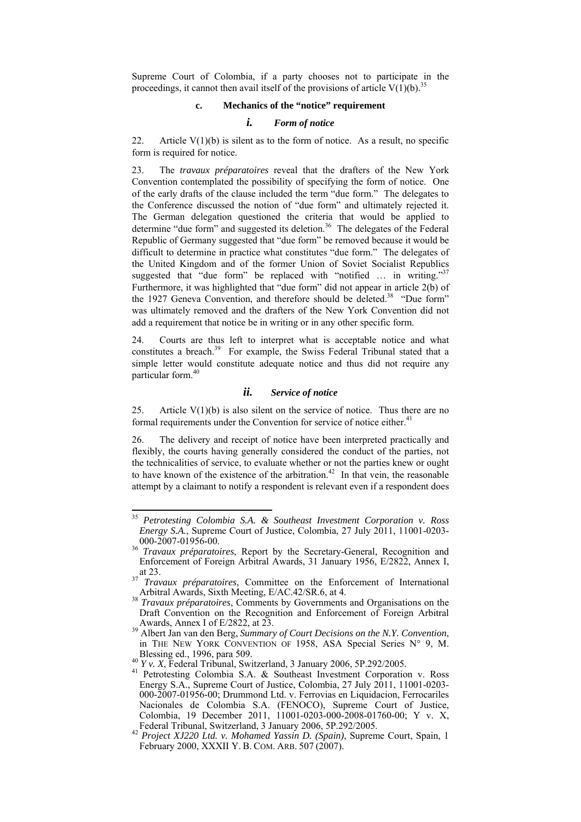Supreme Court of Colombia, if a party chooses not to participate in the proceedings, it cannot then avail itself of the provisions of article  $V(1)(b)$ .<sup>35</sup>

## **c. Mechanics of the "notice" requirement**

#### *i. Form of notice*

22. Article  $V(1)(b)$  is silent as to the form of notice. As a result, no specific form is required for notice.

23. The *travaux préparatoires* reveal that the drafters of the New York Convention contemplated the possibility of specifying the form of notice. One of the early drafts of the clause included the term "due form." The delegates to the Conference discussed the notion of "due form" and ultimately rejected it. The German delegation questioned the criteria that would be applied to determine "due form" and suggested its deletion.<sup>36</sup> The delegates of the Federal Republic of Germany suggested that "due form" be removed because it would be difficult to determine in practice what constitutes "due form." The delegates of the United Kingdom and of the former Union of Soviet Socialist Republics suggested that "due form" be replaced with "notified ... in writing."<sup>37</sup> Furthermore, it was highlighted that "due form" did not appear in article 2(b) of the 1927 Geneva Convention, and therefore should be deleted.<sup>38</sup> "Due form" was ultimately removed and the drafters of the New York Convention did not add a requirement that notice be in writing or in any other specific form.

24. Courts are thus left to interpret what is acceptable notice and what constitutes a breach.<sup>39</sup> For example, the Swiss Federal Tribunal stated that a simple letter would constitute adequate notice and thus did not require any particular form.40

#### *ii. Service of notice*

25. Article  $V(1)(b)$  is also silent on the service of notice. Thus there are no formal requirements under the Convention for service of notice either.<sup>41</sup>

26. The delivery and receipt of notice have been interpreted practically and flexibly, the courts having generally considered the conduct of the parties, not the technicalities of service, to evaluate whether or not the parties knew or ought to have known of the existence of the arbitration.<sup>42</sup> In that vein, the reasonable attempt by a claimant to notify a respondent is relevant even if a respondent does

<sup>35</sup> *Petrotesting Colombia S.A. & Southeast Investment Corporation v. Ross Energy S.A.*, Supreme Court of Justice, Colombia, 27 July 2011, 11001-0203-

<sup>&</sup>lt;sup>36</sup> *Travaux préparatoires*, Report by the Secretary-General, Recognition and Enforcement of Foreign Arbitral Awards, 31 January 1956, E/2822, Annex I,<br>at 23.<br>Travaux préparatoires, Communication and the contract of the contract of the contract of the contract of the contract of the contract of the

at 23. 37 *Travaux préparatoires*, Committee on the Enforcement of International Arbitral Awards, Sixth Meeting, E/AC.42/SR.6, at 4. 38 *Travaux préparatoires*, Comments by Governments and Organisations on the

Draft Convention on the Recognition and Enforcement of Foreign Arbitral

Awards, Annex I of E/2822, at 23. 39 Albert Jan van den Berg, *Summary of Court Decisions on the N.Y. Convention*, in THE NEW YORK CONVENTION OF 1958, ASA Special Series  $N^{\circ}$  9, M. Blessing ed., 1996, para 509.

<sup>&</sup>lt;sup>40</sup> *Y v. X*, Federal Tribunal, Switzerland, 3 January 2006, 5P.292/2005.<br><sup>41</sup> Petrotesting Colombia S.A. & Southeast Investment Corporation v. Ross Energy S.A., Supreme Court of Justice, Colombia, 27 July 2011, 11001-0203- 000-2007-01956-00; Drummond Ltd. v. Ferrovias en Liquidacion, Ferrocariles Nacionales de Colombia S.A. (FENOCO), Supreme Court of Justice, Colombia, 19 December 2011, 11001-0203-000-2008-01760-00; Y v. X, Federal Tribunal, Switzerland, 3 January 2006, 5P.292/2005. 42 *Project XJ220 Ltd. v. Mohamed Yassin D. (Spain)*, Supreme Court, Spain, 1

February 2000, XXXII Y. B. COM. ARB. 507 (2007).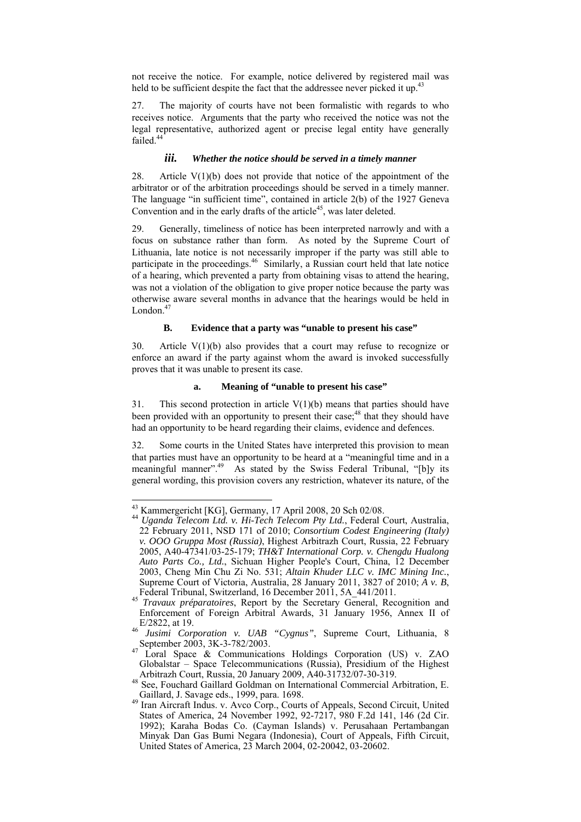not receive the notice. For example, notice delivered by registered mail was held to be sufficient despite the fact that the addressee never picked it up.<sup>43</sup>

27. The majority of courts have not been formalistic with regards to who receives notice. Arguments that the party who received the notice was not the legal representative, authorized agent or precise legal entity have generally failed.<sup>44</sup>

#### *iii. Whether the notice should be served in a timely manner*

28. Article  $V(1)(b)$  does not provide that notice of the appointment of the arbitrator or of the arbitration proceedings should be served in a timely manner. The language "in sufficient time", contained in article 2(b) of the 1927 Geneva Convention and in the early drafts of the article<sup>45</sup>, was later deleted.

29. Generally, timeliness of notice has been interpreted narrowly and with a focus on substance rather than form. As noted by the Supreme Court of Lithuania, late notice is not necessarily improper if the party was still able to participate in the proceedings.<sup>46</sup> Similarly, a Russian court held that late notice of a hearing, which prevented a party from obtaining visas to attend the hearing, was not a violation of the obligation to give proper notice because the party was otherwise aware several months in advance that the hearings would be held in London. $47$ 

#### **B. Evidence that a party was "unable to present his case"**

30. Article V(1)(b) also provides that a court may refuse to recognize or enforce an award if the party against whom the award is invoked successfully proves that it was unable to present its case.

# **a. Meaning of "unable to present his case"**

31. This second protection in article  $V(1)(b)$  means that parties should have been provided with an opportunity to present their case;<sup>48</sup> that they should have had an opportunity to be heard regarding their claims, evidence and defences.

32. Some courts in the United States have interpreted this provision to mean that parties must have an opportunity to be heard at a "meaningful time and in a meaningful manner".<sup>49</sup> As stated by the Swiss Federal Tribunal, "[b]y its general wording, this provision covers any restriction, whatever its nature, of the

<sup>&</sup>lt;sup>43</sup> Kammergericht [KG], Germany, 17 April 2008, 20 Sch 02/08.

<sup>&</sup>lt;sup>44</sup> Uganda Telecom Ltd. v. Hi-Tech Telecom Pty Ltd., Federal Court, Australia, 22 February 2011, NSD 171 of 2010; *Consortium Codest Engineering (Italy) v. OOO Gruppa Most (Russia)*, Highest Arbitrazh Court, Russia, 22 February 2005, A40-47341/03-25-179; *TH&T International Corp. v. Chengdu Hualong Auto Parts Co., Ltd.*, Sichuan Higher People's Court, China, 12 December 2003, Cheng Min Chu Zi No. 531; *Altain Khuder LLC v. IMC Mining Inc.*, Supreme Court of Victoria, Australia, 28 January 2011, 3827 of 2010; *A v. B*, Federal Tribunal, Switzerland, 16 December 2011, 5A\_441/2011. 45 *Travaux préparatoires*, Report by the Secretary General, Recognition and

Enforcement of Foreign Arbitral Awards, 31 January 1956, Annex II of

E/2822, at 19.<br>
<sup>46</sup> *Jusimi Corporation v. UAB "Cygnus"*, Supreme Court, Lithuania, 8<br>
September 2003, 3K-3-782/2003.

Loral Space & Communications Holdings Corporation (US) v. ZAO Globalstar – Space Telecommunications (Russia), Presidium of the Highest

Arbitrazh Court, Russia, 20 January 2009, A40-31732/07-30-319.<br><sup>48</sup> See, Fouchard Gaillard Goldman on International Commercial Arbitration, E. Gaillard, J. Savage eds., 1999, para. 1698.

<sup>49</sup> Iran Aircraft Indus. v. Avco Corp., Courts of Appeals, Second Circuit, United States of America, 24 November 1992, 92-7217, 980 F.2d 141, 146 (2d Cir. 1992); Karaha Bodas Co. (Cayman Islands) v. Perusahaan Pertambangan Minyak Dan Gas Bumi Negara (Indonesia), Court of Appeals, Fifth Circuit, United States of America, 23 March 2004, 02-20042, 03-20602.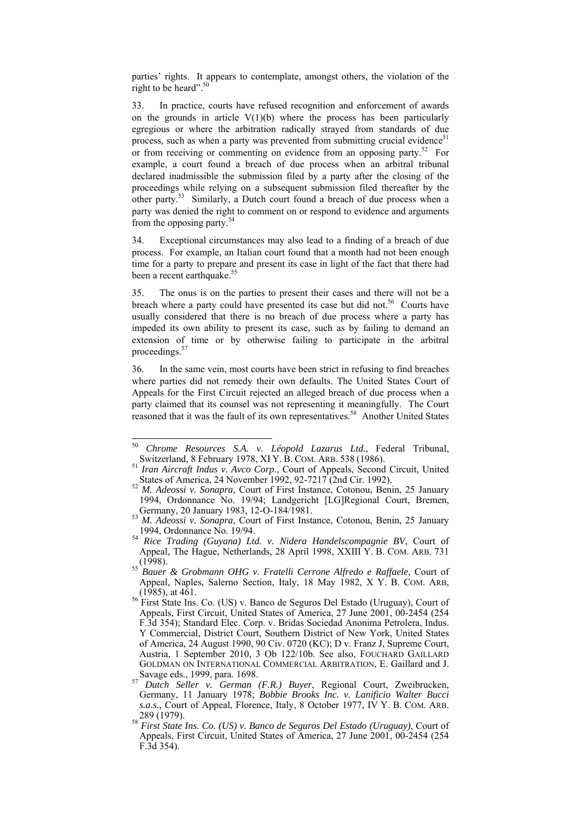parties' rights. It appears to contemplate, amongst others, the violation of the right to be heard".<sup>50</sup>

33. In practice, courts have refused recognition and enforcement of awards on the grounds in article  $V(1)(b)$  where the process has been particularly egregious or where the arbitration radically strayed from standards of due process, such as when a party was prevented from submitting crucial evidence<sup>51</sup> or from receiving or commenting on evidence from an opposing party.<sup>52</sup> For example, a court found a breach of due process when an arbitral tribunal declared inadmissible the submission filed by a party after the closing of the proceedings while relying on a subsequent submission filed thereafter by the other party.53 Similarly, a Dutch court found a breach of due process when a party was denied the right to comment on or respond to evidence and arguments from the opposing party.<sup>54</sup>

34. Exceptional circumstances may also lead to a finding of a breach of due process. For example, an Italian court found that a month had not been enough time for a party to prepare and present its case in light of the fact that there had been a recent earthquake.<sup>55</sup>

35. The onus is on the parties to present their cases and there will not be a breach where a party could have presented its case but did not.<sup>56</sup> Courts have usually considered that there is no breach of due process where a party has impeded its own ability to present its case, such as by failing to demand an extension of time or by otherwise failing to participate in the arbitral proceedings.57

36. In the same vein, most courts have been strict in refusing to find breaches where parties did not remedy their own defaults. The United States Court of Appeals for the First Circuit rejected an alleged breach of due process when a party claimed that its counsel was not representing it meaningfully. The Court reasoned that it was the fault of its own representatives.<sup>58</sup> Another United States

<sup>50</sup> <sup>50</sup> *Chrome Resources S.A. v. Léopold Lazarus Ltd.*, Federal Tribunal, Switzerland, 8 February 1978, XI Y. B. COM. ARB. <sup>538</sup> (1986). 51 *Iran Aircraft Indus v. Avco Corp.*, Court of Appeals, Second Circuit, United

States of America, 24 November 1992, 92-7217 (2nd Cir. 1992). 52 *M. Adeossi v. Sonapra*, Court of First Instance, Cotonou, Benin, 25 January

<sup>1994,</sup> Ordonnance No. 19/94; Landgericht [LG]Regional Court, Bremen, Germany, 20 January 1983, 12-O-184/1981. 53 *M. Adeossi v. Sonapra*, Court of First Instance, Cotonou, Benin, 25 January

<sup>1994,</sup> Ordonnance No. 19/94. 54 *Rice Trading (Guyana) Ltd. v. Nidera Handelscompagnie BV*, Court of

Appeal, The Hague, Netherlands, 28 April 1998, XXIII Y. B. COM. ARB. 731 (1998). 55 *Bauer & Grobmann OHG v. Fratelli Cerrone Alfredo e Raffaele*, Court of

Appeal, Naples, Salerno Section, Italy, 18 May 1982, X Y. B. COM. ARB, (1985), at 461.

<sup>&</sup>lt;sup>56</sup> First State Ins. Co. (US) v. Banco de Seguros Del Estado (Uruguay), Court of Appeals, First Circuit, United States of America, 27 June 2001, 00-2454 (254 F.3d 354); Standard Elec. Corp. v. Bridas Sociedad Anonima Petrolera, Indus. Y Commercial, District Court, Southern District of New York, United States of America, 24 August 1990, 90 Civ. 0720 (KC); D v. Franz J, Supreme Court, Austria, 1 September 2010, 3 Ob 122/10b. See also, FOUCHARD GAILLARD GOLDMAN ON INTERNATIONAL COMMERCIAL ARBITRATION, E. Gaillard and J. Savage eds., 1999, para. 1698. 57 *Dutch Seller v. German (F.R.) Buyer*, Regional Court, Zweibrucken,

Germany, 11 January 1978; *Bobbie Brooks Inc. v. Lanificio Walter Bucci s.a.s.*, Court of Appeal, Florence, Italy, 8 October 1977, IV Y. B. COM. ARB. 289 (1979). 58 *First State Ins. Co. (US) v. Banco de Seguros Del Estado (Uruguay)*, Court of

Appeals, First Circuit, United States of America, 27 June 2001, 00-2454 (254 F.3d 354).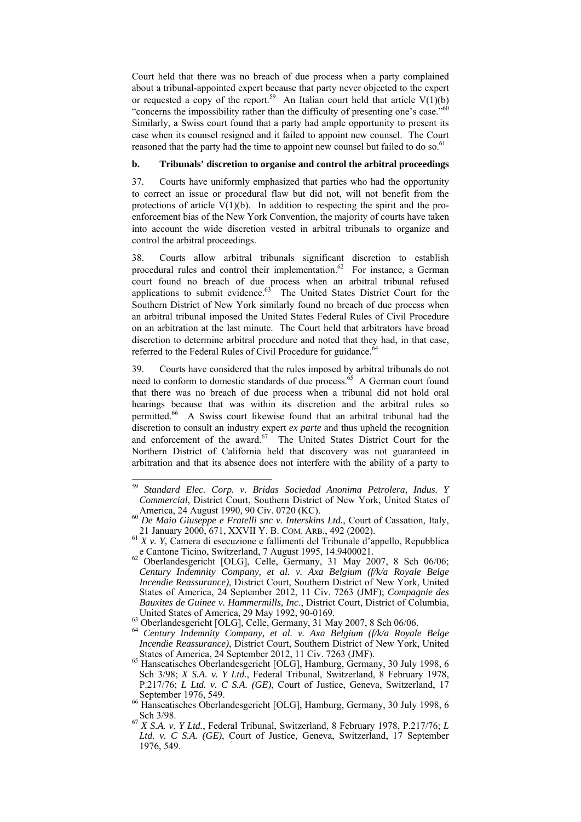Court held that there was no breach of due process when a party complained about a tribunal-appointed expert because that party never objected to the expert or requested a copy of the report.<sup>59</sup> An Italian court held that article  $V(1)(b)$ "concerns the impossibility rather than the difficulty of presenting one's case."60 Similarly, a Swiss court found that a party had ample opportunity to present its case when its counsel resigned and it failed to appoint new counsel. The Court reasoned that the party had the time to appoint new counsel but failed to do so.<sup>61</sup>

## **b. Tribunals' discretion to organise and control the arbitral proceedings**

37. Courts have uniformly emphasized that parties who had the opportunity to correct an issue or procedural flaw but did not, will not benefit from the protections of article  $V(1)(b)$ . In addition to respecting the spirit and the proenforcement bias of the New York Convention, the majority of courts have taken into account the wide discretion vested in arbitral tribunals to organize and control the arbitral proceedings.

38. Courts allow arbitral tribunals significant discretion to establish procedural rules and control their implementation. $62$  For instance, a German court found no breach of due process when an arbitral tribunal refused applications to submit evidence. $63$  The United States District Court for the Southern District of New York similarly found no breach of due process when an arbitral tribunal imposed the United States Federal Rules of Civil Procedure on an arbitration at the last minute. The Court held that arbitrators have broad discretion to determine arbitral procedure and noted that they had, in that case, referred to the Federal Rules of Civil Procedure for guidance.<sup>6</sup>

39. Courts have considered that the rules imposed by arbitral tribunals do not need to conform to domestic standards of due process.<sup>65</sup> A German court found that there was no breach of due process when a tribunal did not hold oral hearings because that was within its discretion and the arbitral rules so permitted.66 A Swiss court likewise found that an arbitral tribunal had the discretion to consult an industry expert *ex parte* and thus upheld the recognition and enforcement of the award.<sup>67</sup> The United States District Court for the Northern District of California held that discovery was not guaranteed in arbitration and that its absence does not interfere with the ability of a party to

<sup>59</sup> <sup>59</sup> *Standard Elec. Corp. v. Bridas Sociedad Anonima Petrolera, Indus. Y Commercial*, District Court, Southern District of New York, United States of

America, 24 August 1990, 90 Civ. 0720 (KC).<br>
<sup>60</sup> *De Maio Giuseppe e Fratelli snc v. Interskins Ltd.*, Court of Cassation, Italy, 21 January 2000, 671, XXVII Y. B. COM. ARB., 492 (2002).

<sup>&</sup>lt;sup>61</sup> *X v. Y*, Camera di esecuzione e fallimenti del Tribunale d'appello, Repubblica e Cantone Ticino, Switzerland, 7 August 1995, 14.9400021.<br><sup>62</sup> Oberlandesgericht [OLG], Celle, Germany, 31 May 2007, 8 Sch 06/06;

*Century Indemnity Company, et al. v. Axa Belgium (f/k/a Royale Belge Incendie Reassurance)*, District Court, Southern District of New York, United States of America, 24 September 2012, 11 Civ. 7263 (JMF); *Compagnie des Bauxites de Guinee v. Hammermills, Inc*., District Court, District of Columbia,

United States of America, 29 May 1992, 90-0169. 63 Oberlandesgericht [OLG], Celle, Germany, 31 May 2007, 8 Sch 06/06. 64 *Century Indemnity Company, et al. v. Axa Belgium (f/k/a Royale Belge Incendie Reassurance)*, District Court, Southern District of New York, United

States of America, 24 September 2012, 11 Civ. 7263 (JMF). 65 Hanseatisches Oberlandesgericht [OLG], Hamburg, Germany, 30 July 1998, 6 Sch 3/98; *X S.A. v. Y Ltd.*, Federal Tribunal, Switzerland, 8 February 1978, P.217/76; *L Ltd. v. C S.A. (GE)*, Court of Justice, Geneva, Switzerland, 17

<sup>66</sup> Hanseatisches Oberlandesgericht [OLG], Hamburg, Germany, 30 July 1998, 6<br>Sch 3/98.

Sch 3/98. 67 *X S.A. v. Y Ltd.*, Federal Tribunal, Switzerland, 8 February 1978, P.217/76; *<sup>L</sup> Ltd. v. C S.A. (GE)*, Court of Justice, Geneva, Switzerland, 17 September 1976, 549.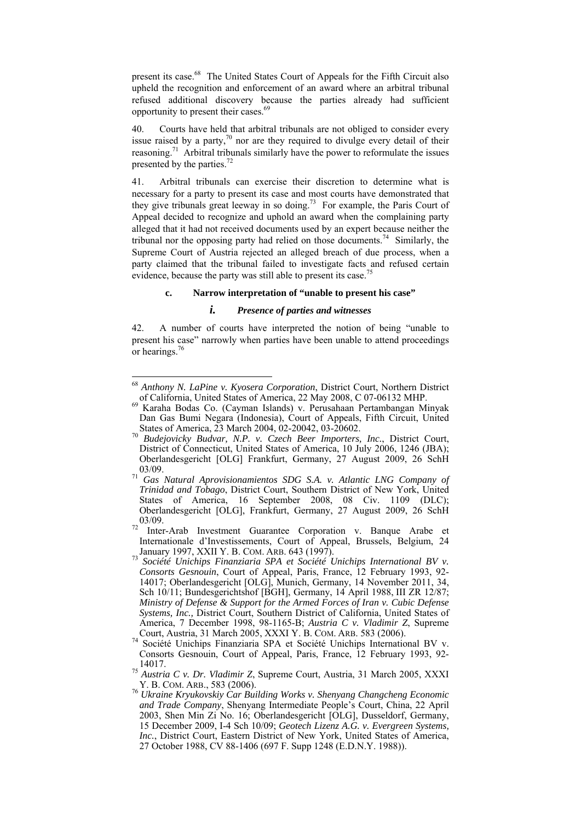present its case.68 The United States Court of Appeals for the Fifth Circuit also upheld the recognition and enforcement of an award where an arbitral tribunal refused additional discovery because the parties already had sufficient opportunity to present their cases.69

40. Courts have held that arbitral tribunals are not obliged to consider every issue raised by a party, $\frac{70}{10}$  nor are they required to divulge every detail of their reasoning.<sup>71</sup> Arbitral tribunals similarly have the power to reformulate the issues presented by the parties.<sup>72</sup>

41. Arbitral tribunals can exercise their discretion to determine what is necessary for a party to present its case and most courts have demonstrated that they give tribunals great leeway in so doing.<sup>73</sup> For example, the Paris Court of Appeal decided to recognize and uphold an award when the complaining party alleged that it had not received documents used by an expert because neither the tribunal nor the opposing party had relied on those documents.<sup>74</sup> Similarly, the Supreme Court of Austria rejected an alleged breach of due process, when a party claimed that the tribunal failed to investigate facts and refused certain evidence, because the party was still able to present its case.<sup>7</sup>

## **c. Narrow interpretation of "unable to present his case"**

## *i. Presence of parties and witnesses*

42. A number of courts have interpreted the notion of being "unable to present his case" narrowly when parties have been unable to attend proceedings or hearings.76

<sup>68</sup> *Anthony N. LaPine v. Kyosera Corporation*, District Court, Northern District of California, United States of America, 22 May 2008, C 07-06132 MHP. 69 Karaha Bodas Co. (Cayman Islands) v. Perusahaan Pertambangan Minyak

Dan Gas Bumi Negara (Indonesia), Court of Appeals, Fifth Circuit, United States of America, 23 March 2004, 02-20042, 03-20602. 70 *Budejovicky Budvar, N.P. v. Czech Beer Importers, Inc.*, District Court,

District of Connecticut, United States of America, 10 July 2006, 1246 (JBA); Oberlandesgericht [OLG] Frankfurt, Germany, 27 August 2009, 26 SchH 03/09. 71 *Gas Natural Aprovisionamientos SDG S.A. v. Atlantic LNG Company of* 

*Trinidad and Tobago*, District Court, Southern District of New York, United States of America, 16 September 2008, 08 Civ. 1109 (DLC); Oberlandesgericht [OLG], Frankfurt, Germany, 27 August 2009, 26 SchH 03/09.<br><sup>72</sup> Inter-Arab Investment Guarantee Corporation v. Banque Arabe et

Internationale d'Investissements, Court of Appeal, Brussels, Belgium, 24<br>January 1997, XXII Y. B. COM. ARB. 643 (1997).

<sup>&</sup>lt;sup>33</sup> Société Unichips Finanziaria SPA et Société Unichips International BV v. *Consorts Gesnouin*, Court of Appeal, Paris, France, 12 February 1993, 92- 14017; Oberlandesgericht [OLG], Munich, Germany, 14 November 2011, 34, Sch 10/11; Bundesgerichtshof [BGH], Germany, 14 April 1988, III ZR 12/87; *Ministry of Defense & Support for the Armed Forces of Iran v. Cubic Defense Systems, Inc.,* District Court, Southern District of California, United States of America, 7 December 1998, 98-1165-B; *Austria C v. Vladimir Z*, Supreme

<sup>&</sup>lt;sup>74</sup> Société Unichips Finanziaria SPA et Société Unichips International BV v. Consorts Gesnouin, Court of Appeal, Paris, France, 12 February 1993, 92-

<sup>14017. 75</sup> *Austria C v. Dr. Vladimir Z*, Supreme Court, Austria, 31 March 2005, XXXI

Y. B. COM. ARB., 583 (2006). 76 *Ukraine Kryukovskiy Car Building Works v. Shenyang Changcheng Economic and Trade Company*, Shenyang Intermediate People's Court, China, 22 April 2003, Shen Min Zi No. 16; Oberlandesgericht [OLG], Dusseldorf, Germany, 15 December 2009, I-4 Sch 10/09; *Geotech Lizenz A.G. v. Evergreen Systems, Inc.*, District Court, Eastern District of New York, United States of America, 27 October 1988, CV 88-1406 (697 F. Supp 1248 (E.D.N.Y. 1988)).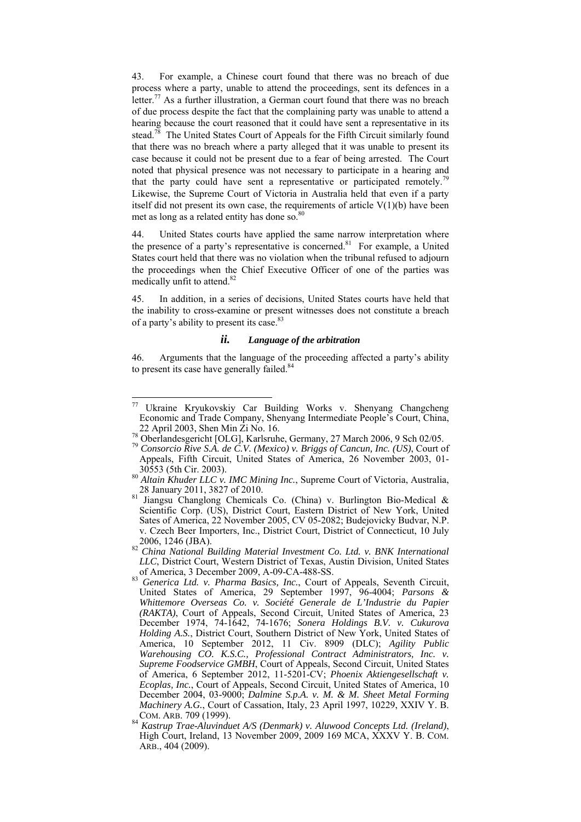43. For example, a Chinese court found that there was no breach of due process where a party, unable to attend the proceedings, sent its defences in a letter.<sup>77</sup> As a further illustration, a German court found that there was no breach of due process despite the fact that the complaining party was unable to attend a hearing because the court reasoned that it could have sent a representative in its stead.<sup>78</sup> The United States Court of Appeals for the Fifth Circuit similarly found that there was no breach where a party alleged that it was unable to present its case because it could not be present due to a fear of being arrested. The Court noted that physical presence was not necessary to participate in a hearing and that the party could have sent a representative or participated remotely.<sup>79</sup> Likewise, the Supreme Court of Victoria in Australia held that even if a party itself did not present its own case, the requirements of article  $V(1)(b)$  have been met as long as a related entity has done so.<sup>80</sup>

44. United States courts have applied the same narrow interpretation where the presence of a party's representative is concerned.<sup>81</sup> For example, a United States court held that there was no violation when the tribunal refused to adjourn the proceedings when the Chief Executive Officer of one of the parties was medically unfit to attend.<sup>82</sup>

45. In addition, in a series of decisions, United States courts have held that the inability to cross-examine or present witnesses does not constitute a breach of a party's ability to present its case.<sup>83</sup>

## *ii. Language of the arbitration*

46. Arguments that the language of the proceeding affected a party's ability to present its case have generally failed.<sup>84</sup>

 $77\,$ Ukraine Kryukovskiy Car Building Works v. Shenyang Changcheng Economic and Trade Company, Shenyang Intermediate People's Court, China,

<sup>22</sup> April 2003, Shen Min Zi No. 16. 78 Oberlandesgericht [OLG], Karlsruhe, Germany, 27 March 2006, 9 Sch 02/05. 79 *Consorcio Rive S.A. de C.V. (Mexico) v. Briggs of Cancun, Inc. (US)*, Court of Appeals, Fifth Circuit, United States of America, 26 November 2003, 01-

<sup>30553 (5</sup>th Cir. 2003). 80 *Altain Khuder LLC v. IMC Mining Inc.*, Supreme Court of Victoria, Australia,

<sup>&</sup>lt;sup>81</sup> Jiangsu Changlong Chemicals Co. (China) v. Burlington Bio-Medical & Scientific Corp. (US), District Court, Eastern District of New York, United Sates of America, 22 November 2005, CV 05-2082; Budejovicky Budvar, N.P. v. Czech Beer Importers, Inc., District Court, District of Connecticut, 10 July

<sup>2006, 1246 (</sup>JBA). 82 *China National Building Material Investment Co. Ltd. v. BNK International LLC*, District Court, Western District of Texas, Austin Division, United States

of America, 3 December 2009, A-09-CA-488-SS.<br><sup>83</sup> *Generica Ltd. v. Pharma Basics, Inc.*, Court of Appeals, Seventh Circuit, United States of America, 29 September 1997, 96-4004; *Parsons & Whittemore Overseas Co. v. Société Generale de L'Industrie du Papier (RAKTA)*, Court of Appeals, Second Circuit, United States of America, 23 December 1974, 74-1642, 74-1676; *Sonera Holdings B.V. v. Cukurova Holding A.S.*, District Court, Southern District of New York, United States of America, 10 September 2012, 11 Civ. 8909 (DLC); *Agility Public Warehousing CO. K.S.C., Professional Contract Administrators, Inc. v. Supreme Foodservice GMBH*, Court of Appeals, Second Circuit, United States of America, 6 September 2012, 11-5201-CV; *Phoenix Aktiengesellschaft v. Ecoplas, Inc.*, Court of Appeals, Second Circuit, United States of America, 10 December 2004, 03-9000; *Dalmine S.p.A. v. M. & M. Sheet Metal Forming Machinery A.G.*, Court of Cassation, Italy, 23 April 1997, 10229, XXIV Y. B.

COM. ARB. 709 (1999). 84 *Kastrup Trae-Aluvinduet A/S (Denmark) v. Aluwood Concepts Ltd. (Ireland)*, High Court, Ireland, 13 November 2009, 2009 169 MCA, XXXV Y. B. COM. ARB., 404 (2009).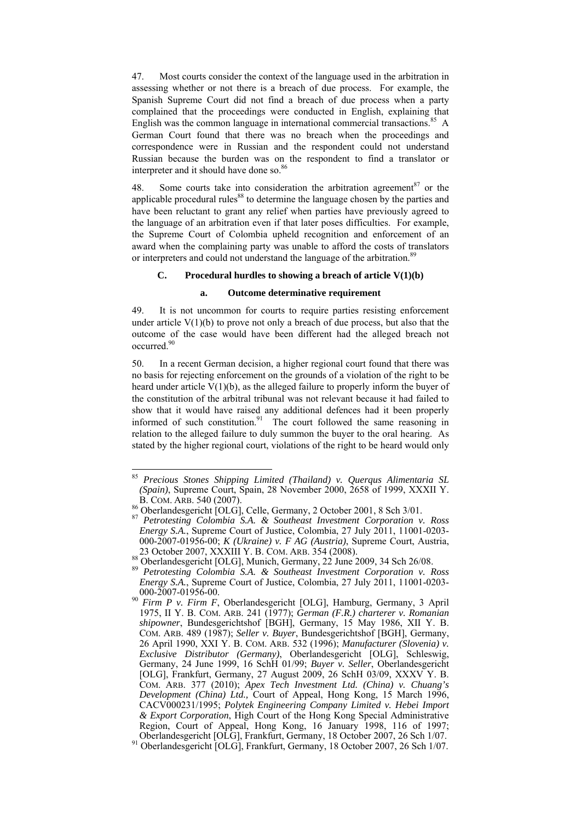47. Most courts consider the context of the language used in the arbitration in assessing whether or not there is a breach of due process. For example, the Spanish Supreme Court did not find a breach of due process when a party complained that the proceedings were conducted in English, explaining that English was the common language in international commercial transactions.<sup>85</sup> A German Court found that there was no breach when the proceedings and correspondence were in Russian and the respondent could not understand Russian because the burden was on the respondent to find a translator or interpreter and it should have done so.<sup>86</sup>

48. Some courts take into consideration the arbitration agreement<sup>87</sup> or the applicable procedural rules $88$  to determine the language chosen by the parties and have been reluctant to grant any relief when parties have previously agreed to the language of an arbitration even if that later poses difficulties. For example, the Supreme Court of Colombia upheld recognition and enforcement of an award when the complaining party was unable to afford the costs of translators or interpreters and could not understand the language of the arbitration.<sup>89</sup>

# **C. Procedural hurdles to showing a breach of article V(1)(b)**

## **a. Outcome determinative requirement**

49. It is not uncommon for courts to require parties resisting enforcement under article  $V(1)(b)$  to prove not only a breach of due process, but also that the outcome of the case would have been different had the alleged breach not occurred.90

50. In a recent German decision, a higher regional court found that there was no basis for rejecting enforcement on the grounds of a violation of the right to be heard under article  $V(1)(b)$ , as the alleged failure to properly inform the buyer of the constitution of the arbitral tribunal was not relevant because it had failed to show that it would have raised any additional defences had it been properly informed of such constitution.<sup>91</sup> The court followed the same reasoning in relation to the alleged failure to duly summon the buyer to the oral hearing. As stated by the higher regional court, violations of the right to be heard would only

<sup>85</sup> *Precious Stones Shipping Limited (Thailand) v. Querqus Alimentaria SL (Spain)*, Supreme Court, Spain, 28 November 2000, 2658 of 1999, XXXII Y.

B. COM. ARB. 540 (2007).<br><sup>86</sup> Oberlandesgericht [OLG], Celle, Germany, 2 October 2001, 8 Sch 3/01.

<sup>&</sup>lt;sup>87</sup> Petrotesting Colombia S.A. & Southeast Investment Corporation v. Ross<br>Energy S.A., Supreme Court of Justice, Colombia, 27 July 2011, 11001-0203-000-2007-01956-00; *K (Ukraine) v. F AG (Austria)*, Supreme Court, Austria,

<sup>&</sup>lt;sup>88</sup> Oberlandesgericht [OLG], Munich, Germany, 22 June 2009, 34 Sch 26/08.<br><sup>89</sup> *Petrotesting Colombia S.A. & Southeast Investment Corporation v. Ross Energy S.A.*, Supreme Court of Justice, Colombia, 27 July 2011, 11001-0203-

<sup>000-2007-01956-00. 90</sup> *Firm P v. Firm F*, Oberlandesgericht [OLG], Hamburg, Germany, 3 April 1975, II Y. B. COM. ARB. 241 (1977); *German (F.R.) charterer v. Romanian shipowner*, Bundesgerichtshof [BGH], Germany, 15 May 1986, XII Y. B. COM. ARB. 489 (1987); *Seller v. Buyer*, Bundesgerichtshof [BGH], Germany, 26 April 1990, XXI Y. B. COM. ARB. 532 (1996); *Manufacturer (Slovenia) v. Exclusive Distributor (Germany)*, Oberlandesgericht [OLG], Schleswig, Germany, 24 June 1999, 16 SchH 01/99; *Buyer v. Seller*, Oberlandesgericht [OLG], Frankfurt, Germany, 27 August 2009, 26 SchH 03/09, XXXV Y. B. COM. ARB. 377 (2010); *Apex Tech Investment Ltd. (China) v. Chuang's Development (China) Ltd.,* Court of Appeal, Hong Kong, 15 March 1996, CACV000231/1995; *Polytek Engineering Company Limited v. Hebei Import & Export Corporation*, High Court of the Hong Kong Special Administrative Region, Court of Appeal, Hong Kong, 16 January 1998, 116 of 1997; Oberlandesgericht [OLG], Frankfurt, Germany, 18 October 2007, 26 Sch 1/07. 91 Oberlandesgericht [OLG], Frankfurt, Germany, 18 October 2007, 26 Sch 1/07.